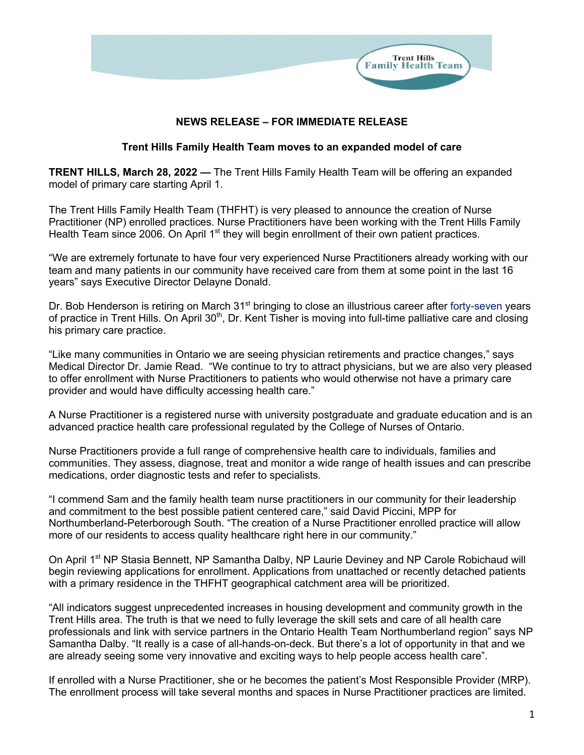

## **NEWS RELEASE – FOR IMMEDIATE RELEASE**

## **Trent Hills Family Health Team moves to an expanded model of care**

**TRENT HILLS, March 28, 2022 —** The Trent Hills Family Health Team will be offering an expanded model of primary care starting April 1.

The Trent Hills Family Health Team (THFHT) is very pleased to announce the creation of Nurse Practitioner (NP) enrolled practices. Nurse Practitioners have been working with the Trent Hills Family Health Team since 2006. On April 1<sup>st</sup> they will begin enrollment of their own patient practices.

"We are extremely fortunate to have four very experienced Nurse Practitioners already working with our team and many patients in our community have received care from them at some point in the last 16 years" says Executive Director Delayne Donald.

Dr. Bob Henderson is retiring on March 31<sup>st</sup> bringing to close an illustrious career after forty-seven years of practice in Trent Hills. On April 30<sup>th</sup>, Dr. Kent Tisher is moving into full-time palliative care and closing his primary care practice.

"Like many communities in Ontario we are seeing physician retirements and practice changes," says Medical Director Dr. Jamie Read. "We continue to try to attract physicians, but we are also very pleased to offer enrollment with Nurse Practitioners to patients who would otherwise not have a primary care provider and would have difficulty accessing health care."

A Nurse Practitioner is a registered nurse with university postgraduate and graduate education and is an advanced practice health care professional regulated by the College of Nurses of Ontario.

Nurse Practitioners provide a full range of comprehensive health care to individuals, families and communities. They assess, diagnose, treat and monitor a wide range of health issues and can prescribe medications, order diagnostic tests and refer to specialists.

"I commend Sam and the family health team nurse practitioners in our community for their leadership and commitment to the best possible patient centered care," said David Piccini, MPP for Northumberland-Peterborough South. "The creation of a Nurse Practitioner enrolled practice will allow more of our residents to access quality healthcare right here in our community."

On April 1<sup>st</sup> NP Stasia Bennett, NP Samantha Dalby, NP Laurie Deviney and NP Carole Robichaud will begin reviewing applications for enrollment. Applications from unattached or recently detached patients with a primary residence in the THFHT geographical catchment area will be prioritized.

"All indicators suggest unprecedented increases in housing development and community growth in the Trent Hills area. The truth is that we need to fully leverage the skill sets and care of all health care professionals and link with service partners in the Ontario Health Team Northumberland region" says NP Samantha Dalby. "It really is a case of all-hands-on-deck. But there's a lot of opportunity in that and we are already seeing some very innovative and exciting ways to help people access health care".

If enrolled with a Nurse Practitioner, she or he becomes the patient's Most Responsible Provider (MRP). The enrollment process will take several months and spaces in Nurse Practitioner practices are limited.